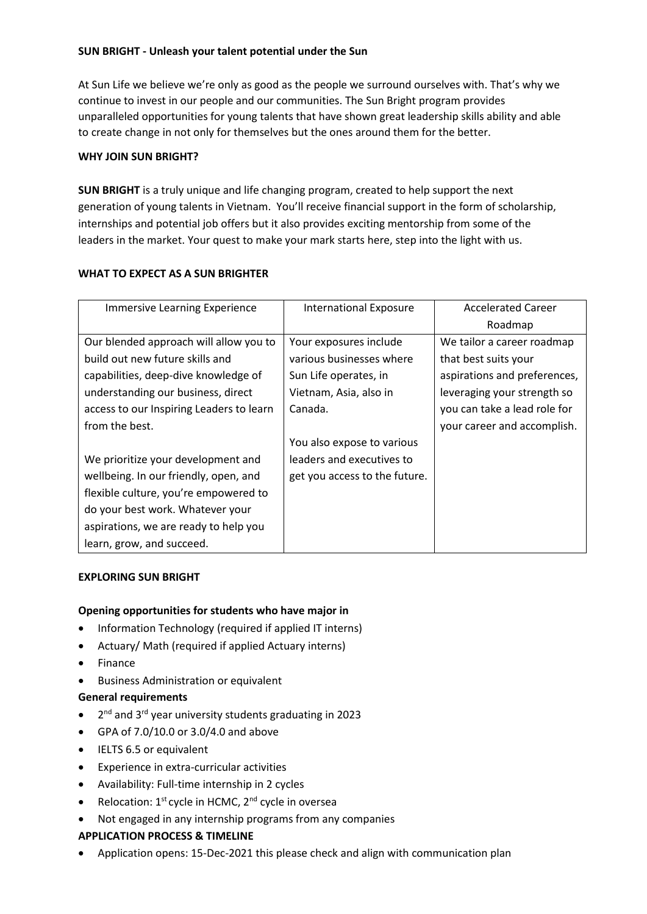## **SUN BRIGHT - Unleash your talent potential under the Sun**

At Sun Life we believe we're only as good as the people we surround ourselves with. That's why we continue to invest in our people and our communities. The Sun Bright program provides unparalleled opportunities for young talents that have shown great leadership skills ability and able to create change in not only for themselves but the ones around them for the better.

# **WHY JOIN SUN BRIGHT?**

**SUN BRIGHT** is a truly unique and life changing program, created to help support the next generation of young talents in Vietnam. You'll receive financial support in the form of scholarship, internships and potential job offers but it also provides exciting mentorship from some of the leaders in the market. Your quest to make your mark starts here, step into the light with us.

#### **WHAT TO EXPECT AS A SUN BRIGHTER**

| Immersive Learning Experience            | <b>International Exposure</b> | <b>Accelerated Career</b>    |
|------------------------------------------|-------------------------------|------------------------------|
|                                          |                               | Roadmap                      |
| Our blended approach will allow you to   | Your exposures include        | We tailor a career roadmap   |
| build out new future skills and          | various businesses where      | that best suits your         |
| capabilities, deep-dive knowledge of     | Sun Life operates, in         | aspirations and preferences, |
| understanding our business, direct       | Vietnam, Asia, also in        | leveraging your strength so  |
| access to our Inspiring Leaders to learn | Canada.                       | you can take a lead role for |
| from the best.                           |                               | your career and accomplish.  |
|                                          | You also expose to various    |                              |
| We prioritize your development and       | leaders and executives to     |                              |
| wellbeing. In our friendly, open, and    | get you access to the future. |                              |
| flexible culture, you're empowered to    |                               |                              |
| do your best work. Whatever your         |                               |                              |
| aspirations, we are ready to help you    |                               |                              |
| learn, grow, and succeed.                |                               |                              |

## **EXPLORING SUN BRIGHT**

## **Opening opportunities for students who have major in**

- Information Technology (required if applied IT interns)
- Actuary/ Math (required if applied Actuary interns)
- Finance
- Business Administration or equivalent

## **General requirements**

- 2<sup>nd</sup> and 3<sup>rd</sup> year university students graduating in 2023
- GPA of 7.0/10.0 or 3.0/4.0 and above
- IELTS 6.5 or equivalent
- Experience in extra-curricular activities
- Availability: Full-time internship in 2 cycles
- Relocation:  $1^{st}$  cycle in HCMC,  $2^{nd}$  cycle in oversea
- Not engaged in any internship programs from any companies

## **APPLICATION PROCESS & TIMELINE**

• Application opens: 15-Dec-2021 this please check and align with communication plan